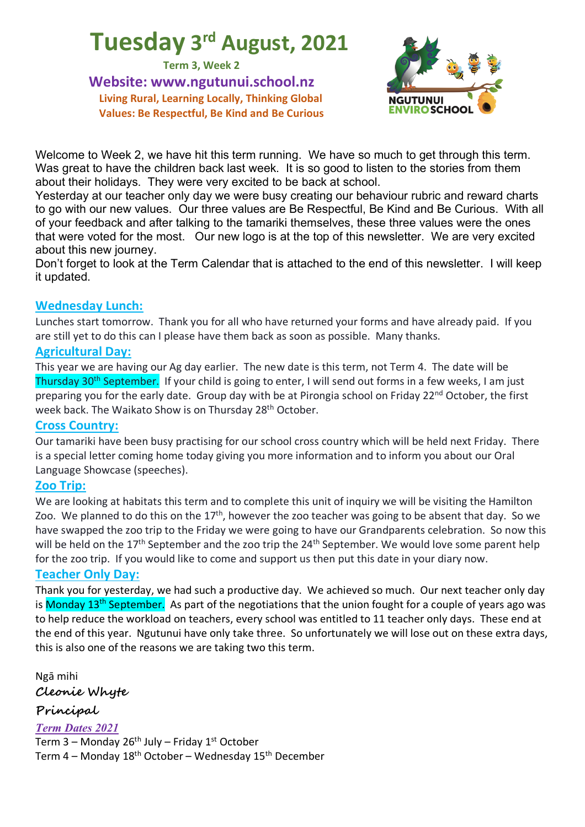# **Tuesday 3rd August, 2021**

**Term 3, Week 2**

**Website: www.ngutunui.school.nz Living Rural, Learning Locally, Thinking Global Values: Be Respectful, Be Kind and Be Curious**



Welcome to Week 2, we have hit this term running. We have so much to get through this term. Was great to have the children back last week. It is so good to listen to the stories from them about their holidays. They were very excited to be back at school.

Yesterday at our teacher only day we were busy creating our behaviour rubric and reward charts to go with our new values. Our three values are Be Respectful, Be Kind and Be Curious. With all of your feedback and after talking to the tamariki themselves, these three values were the ones that were voted for the most. Our new logo is at the top of this newsletter. We are very excited about this new journey.

Don't forget to look at the Term Calendar that is attached to the end of this newsletter. I will keep it updated.

## **Wednesday Lunch:**

Lunches start tomorrow. Thank you for all who have returned your forms and have already paid. If you are still yet to do this can I please have them back as soon as possible. Many thanks.

#### **Agricultural Day:**

This year we are having our Ag day earlier. The new date is this term, not Term 4. The date will be Thursday 30<sup>th</sup> September. If your child is going to enter, I will send out forms in a few weeks, I am just preparing you for the early date. Group day with be at Pirongia school on Friday 22nd October, the first week back. The Waikato Show is on Thursday 28<sup>th</sup> October.

#### **Cross Country:**

Our tamariki have been busy practising for our school cross country which will be held next Friday. There is a special letter coming home today giving you more information and to inform you about our Oral Language Showcase (speeches).

## **Zoo Trip:**

We are looking at habitats this term and to complete this unit of inquiry we will be visiting the Hamilton Zoo. We planned to do this on the  $17<sup>th</sup>$ , however the zoo teacher was going to be absent that day. So we have swapped the zoo trip to the Friday we were going to have our Grandparents celebration. So now this will be held on the 17<sup>th</sup> September and the zoo trip the 24<sup>th</sup> September. We would love some parent help for the zoo trip. If you would like to come and support us then put this date in your diary now.

#### **Teacher Only Day:**

Thank you for yesterday, we had such a productive day. We achieved so much. Our next teacher only day is Monday 13<sup>th</sup> September. As part of the negotiations that the union fought for a couple of years ago was to help reduce the workload on teachers, every school was entitled to 11 teacher only days. These end at the end of this year. Ngutunui have only take three. So unfortunately we will lose out on these extra days, this is also one of the reasons we are taking two this term.

Ngā mihi **Cleonie Whyte**

**Principal** 

*Term Dates 2021* Term  $3$  – Monday 26<sup>th</sup> July – Friday 1<sup>st</sup> October Term 4 – Monday 18th October – Wednesday 15th December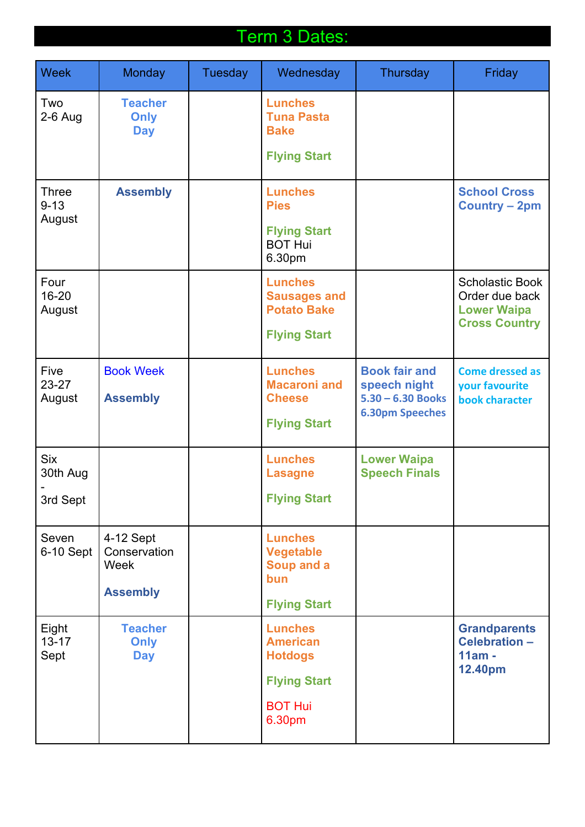# Term 3 Dates:

| Week                               | Monday                               | Tuesday                                                     | Wednesday                                                                     | Thursday                                                                               | Friday                                                      |
|------------------------------------|--------------------------------------|-------------------------------------------------------------|-------------------------------------------------------------------------------|----------------------------------------------------------------------------------------|-------------------------------------------------------------|
| Two<br>$2-6$ Aug                   | <b>Teacher</b><br>Only<br><b>Day</b> |                                                             | <b>Lunches</b><br><b>Tuna Pasta</b><br><b>Bake</b>                            |                                                                                        |                                                             |
|                                    |                                      |                                                             | <b>Flying Start</b>                                                           |                                                                                        |                                                             |
| <b>Three</b><br>$9 - 13$<br>August | <b>Assembly</b>                      |                                                             | <b>Lunches</b><br><b>Pies</b>                                                 |                                                                                        | <b>School Cross</b><br><b>Country - 2pm</b>                 |
|                                    |                                      |                                                             | <b>Flying Start</b><br><b>BOT Hui</b><br>6.30pm                               |                                                                                        |                                                             |
| Four<br>$16 - 20$<br>August        |                                      | <b>Lunches</b><br><b>Sausages and</b><br><b>Potato Bake</b> |                                                                               | <b>Scholastic Book</b><br>Order due back<br><b>Lower Waipa</b><br><b>Cross Country</b> |                                                             |
|                                    |                                      |                                                             | <b>Flying Start</b>                                                           |                                                                                        |                                                             |
| <b>Five</b><br>23-27<br>August     | <b>Book Week</b><br><b>Assembly</b>  |                                                             | <b>Lunches</b><br><b>Macaroni and</b><br><b>Cheese</b><br><b>Flying Start</b> | <b>Book fair and</b><br>speech night<br>$5.30 - 6.30$ Books<br><b>6.30pm Speeches</b>  | <b>Come dressed as</b><br>your favourite<br>book character  |
|                                    |                                      |                                                             |                                                                               |                                                                                        |                                                             |
| <b>Six</b><br>30th Aug             |                                      |                                                             | <b>Lunches</b><br><b>Lasagne</b>                                              | <b>Lower Waipa</b><br><b>Speech Finals</b>                                             |                                                             |
| 3rd Sept                           |                                      |                                                             | <b>Flying Start</b>                                                           |                                                                                        |                                                             |
| Seven<br>6-10 Sept                 | 4-12 Sept<br>Conservation<br>Week    |                                                             | <b>Lunches</b><br>Vegetable<br>Soup and a<br><b>bun</b>                       |                                                                                        |                                                             |
|                                    | <b>Assembly</b>                      |                                                             | <b>Flying Start</b>                                                           |                                                                                        |                                                             |
| Eight<br>$13 - 17$<br>Sept         | <b>Teacher</b><br>Only<br><b>Day</b> |                                                             | <b>Lunches</b><br><b>American</b><br><b>Hotdogs</b><br><b>Flying Start</b>    |                                                                                        | <b>Grandparents</b><br>Celebration -<br>$11am -$<br>12.40pm |
|                                    |                                      |                                                             | <b>BOT Hui</b><br>6.30pm                                                      |                                                                                        |                                                             |